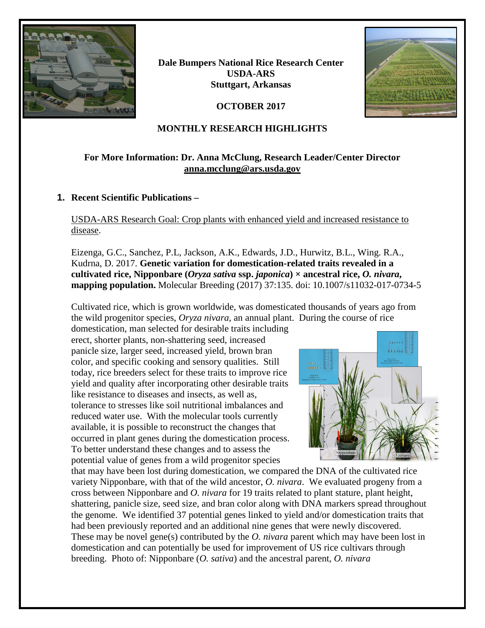

**Dale Bumpers National Rice Research Center USDA-ARS Stuttgart, Arkansas**

**OCTOBER 2017**



## **MONTHLY RESEARCH HIGHLIGHTS**

## **For More Information: Dr. Anna McClung, Research Leader/Center Director [anna.mcclung@ars.usda.gov](mailto:anna.mcclung@ars.usda.gov)**

### **1. Recent Scientific Publications –**

USDA-ARS Research Goal: Crop plants with enhanced yield and increased resistance to disease.

Eizenga, G.C., Sanchez, P.L, Jackson, A.K., Edwards, J.D., Hurwitz, B.L., Wing. R.A., Kudrna, D. 2017. **Genetic variation for domestication-related traits revealed in a cultivated rice, Nipponbare (***Oryza sativa* **ssp.** *japonica***) × ancestral rice,** *O. nivara***, mapping population.** Molecular Breeding (2017) 37:135. doi: 10.1007/s11032-017-0734-5

Cultivated rice, which is grown worldwide, was domesticated thousands of years ago from the wild progenitor species, *Oryza nivara*, an annual plant. During the course of rice

domestication, man selected for desirable traits including erect, shorter plants, non-shattering seed, increased panicle size, larger seed, increased yield, brown bran color, and specific cooking and sensory qualities. Still today, rice breeders select for these traits to improve rice yield and quality after incorporating other desirable traits like resistance to diseases and insects, as well as, tolerance to stresses like soil nutritional imbalances and reduced water use. With the molecular tools currently available, it is possible to reconstruct the changes that occurred in plant genes during the domestication process. To better understand these changes and to assess the potential value of genes from a wild progenitor species



that may have been lost during domestication, we compared the DNA of the cultivated rice variety Nipponbare, with that of the wild ancestor, *O. nivara*. We evaluated progeny from a cross between Nipponbare and *O. nivara* for 19 traits related to plant stature, plant height, shattering, panicle size, seed size, and bran color along with DNA markers spread throughout the genome. We identified 37 potential genes linked to yield and/or domestication traits that had been previously reported and an additional nine genes that were newly discovered. These may be novel gene(s) contributed by the *O. nivara* parent which may have been lost in domestication and can potentially be used for improvement of US rice cultivars through breeding. Photo of: Nipponbare (*O. sativa*) and the ancestral parent, *O. nivara*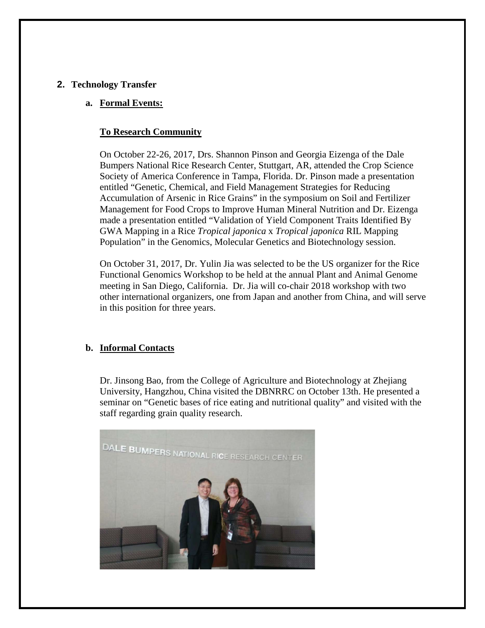#### **2. Technology Transfer**

#### **a. Formal Events:**

#### **To Research Community**

On October 22-26, 2017, Drs. Shannon Pinson and Georgia Eizenga of the Dale Bumpers National Rice Research Center, Stuttgart, AR, attended the Crop Science Society of America Conference in Tampa, Florida. Dr. Pinson made a presentation entitled "Genetic, Chemical, and Field Management Strategies for Reducing Accumulation of Arsenic in Rice Grains" in the symposium on Soil and Fertilizer Management for Food Crops to Improve Human Mineral Nutrition and Dr. Eizenga made a presentation entitled "Validation of Yield Component Traits Identified By GWA Mapping in a Rice *Tropical japonica* x *Tropical japonica* RIL Mapping Population" in the Genomics, Molecular Genetics and Biotechnology session.

On October 31, 2017, Dr. Yulin Jia was selected to be the US organizer for the Rice Functional Genomics Workshop to be held at the annual Plant and Animal Genome meeting in San Diego, California. Dr. Jia will co-chair 2018 workshop with two other international organizers, one from Japan and another from China, and will serve in this position for three years.

# **b. Informal Contacts**

Dr. Jinsong Bao, from the College of Agriculture and Biotechnology at Zhejiang University, Hangzhou, China visited the DBNRRC on October 13th. He presented a seminar on "Genetic bases of rice eating and nutritional quality" and visited with the staff regarding grain quality research.